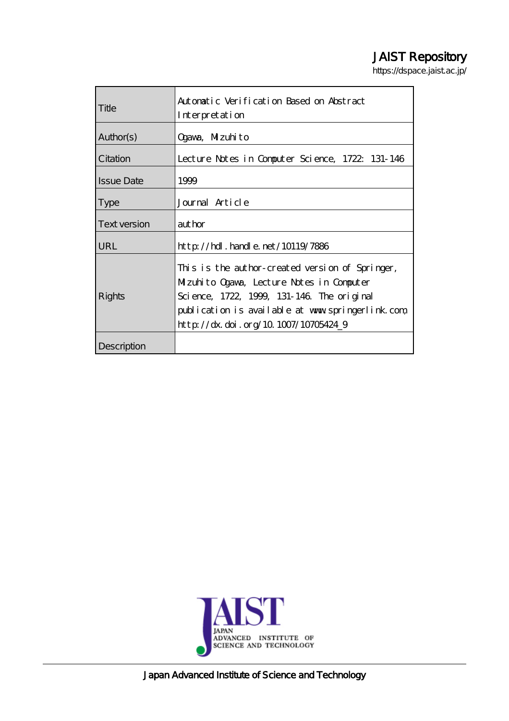# JAIST Repository

https://dspace.jaist.ac.jp/

| Title               | Automatic Verification Based on Abstract<br>Interpretation                                                                                                                                                                              |  |  |
|---------------------|-----------------------------------------------------------------------------------------------------------------------------------------------------------------------------------------------------------------------------------------|--|--|
| Author(s)           | Ogava, Mizuhito                                                                                                                                                                                                                         |  |  |
| Citation            | Lecture Notes in Computer Science, 1722: 131-146                                                                                                                                                                                        |  |  |
| <b>Issue Date</b>   | 1999                                                                                                                                                                                                                                    |  |  |
| <b>Type</b>         | Journal Article                                                                                                                                                                                                                         |  |  |
| <b>Text version</b> | author                                                                                                                                                                                                                                  |  |  |
| <b>URL</b>          | http://hdl.handle.net/10119/7886                                                                                                                                                                                                        |  |  |
| Rights              | This is the author-created version of Springer,<br>Muzuhito Ogawa, Lecture Notes in Computer<br>Science, 1722, 1999, 131-146. The original<br>publication is available at www.springerlink.com,<br>http://dx.doi.org/10.1007/10705424_9 |  |  |
| Description         |                                                                                                                                                                                                                                         |  |  |



Japan Advanced Institute of Science and Technology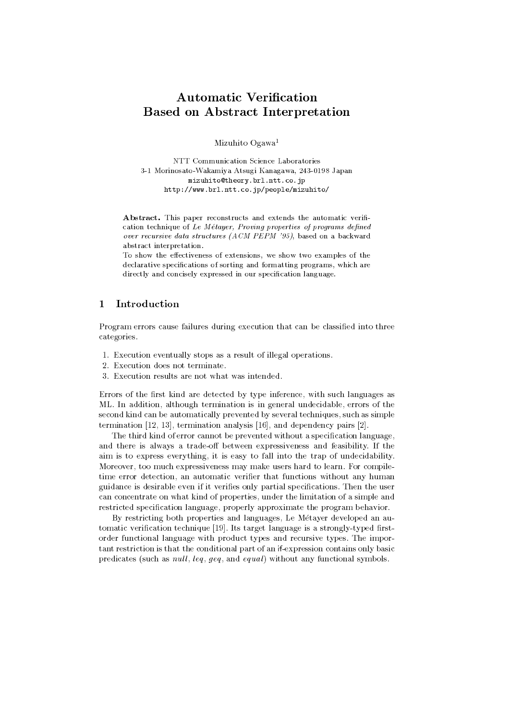## **Automatic Verification Based on Abstract Interpretation**

Mizuhito Ogawa<sup>1</sup>

NTT Communication Science Laboratories 3-1 Morinosato-Wakamiya Atsugi Kanagawa, 243-0198 Japan mizuhito@theory.brl.ntt.co.jp http://www.brl.ntt.co.jp/people/mizuhito/

Abstract. This paper reconstructs and extends the automatic verification technique of Le Métayer, Proving properties of programs defined over recursive data structures (ACM PEPM '95), based on a backward abstract interpretation.

To show the effectiveness of extensions, we show two examples of the declarative specifications of sorting and formatting programs, which are directly and concisely expressed in our specification language.

### Introduction  $\mathbf{1}$

Program errors cause failures during execution that can be classified into three categories.

- 1. Execution eventually stops as a result of illegal operations.
- 2. Execution does not terminate.
- 3. Execution results are not what was intended.

Errors of the first kind are detected by type inference, with such languages as ML. In addition, although termination is in general undecidable, errors of the second kind can be automatically prevented by several techniques, such as simple termination  $[12, 13]$ , termination analysis  $[16]$ , and dependency pairs  $[2]$ .

The third kind of error cannot be prevented without a specification language, and there is always a trade-off between expressiveness and feasibility. If the aim is to express everything, it is easy to fall into the trap of undecidability. Moreover, too much expressiveness may make users hard to learn. For compiletime error detection, an automatic verifier that functions without any human guidance is desirable even if it verifies only partial specifications. Then the user can concentrate on what kind of properties, under the limitation of a simple and restricted specification language, properly approximate the program behavior.

By restricting both properties and languages, Le Métayer developed an automatic verification technique [19]. Its target language is a strongly-typed firstorder functional language with product types and recursive types. The important restriction is that the conditional part of an if-expression contains only basic predicates (such as  $null$ ,  $leq$ ,  $geq$ , and  $equal$ ) without any functional symbols.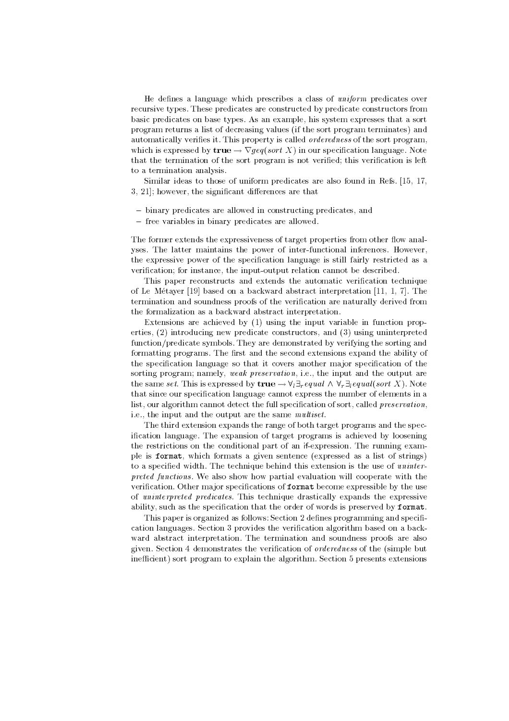He defines a language which prescribes a class of *uniform* predicates over recursive types. These predicates are constructed by predicate constructors from basic predicates on base types. As an example, his system expresses that a sort program returns a list of decreasing values (if the sort program terminates) and automatically verifies it. This property is called *orderedness* of the sort program. which is expressed by  $true \rightarrow \nabla \text{geq}(sort X)$  in our specification language. Note that the termination of the sort program is not verified; this verification is left to a termination analysis.

Similar ideas to those of uniform predicates are also found in Refs. [15, 17, 3, 21]; however, the significant differences are that

- binary predicates are allowed in constructing predicates, and
- free variables in binary predicates are allowed.

The former extends the expressiveness of target properties from other flow analyses. The latter maintains the power of inter-functional inferences. However, the expressive power of the specification language is still fairly restricted as a verification; for instance, the input-output relation cannot be described.

This paper reconstructs and extends the automatic verification technique of Le Métayer [19] based on a backward abstract interpretation [11, 1, 7]. The termination and soundness proofs of the verification are naturally derived from the formalization as a backward abstract interpretation.

Extensions are achieved by  $(1)$  using the input variable in function properties, (2) introducing new predicate constructors, and (3) using uninterpreted function/predicate symbols. They are demonstrated by verifying the sorting and formatting programs. The first and the second extensions expand the ability of the specification language so that it covers another major specification of the sorting program; namely, weak preservation, i.e., the input and the output are the same set. This is expressed by true  $\rightarrow \forall i \exists_i \in \mathcal{A}$   $\land \forall_i \exists_i \in \mathcal{A}$  (sort X). Note that since our specification language cannot express the number of elements in a list, our algorithm cannot detect the full specification of sort, called *preservation*, i.e., the input and the output are the same *multiset*.

The third extension expands the range of both target programs and the specification language. The expansion of target programs is achieved by loosening the restrictions on the conditional part of an if-expression. The running example is format, which formats a given sentence (expressed as a list of strings) to a specified width. The technique behind this extension is the use of *uninter*preted functions. We also show how partial evaluation will cooperate with the verification. Other major specifications of format become expressible by the use of *uninterpreted predicates*. This technique drastically expands the expressive ability, such as the specification that the order of words is preserved by format.

This paper is organized as follows: Section 2 defines programming and specification languages. Section 3 provides the verification algorithm based on a backward abstract interpretation. The termination and soundness proofs are also given. Section 4 demonstrates the verification of *orderedness* of the (simple but inefficient) sort program to explain the algorithm. Section 5 presents extensions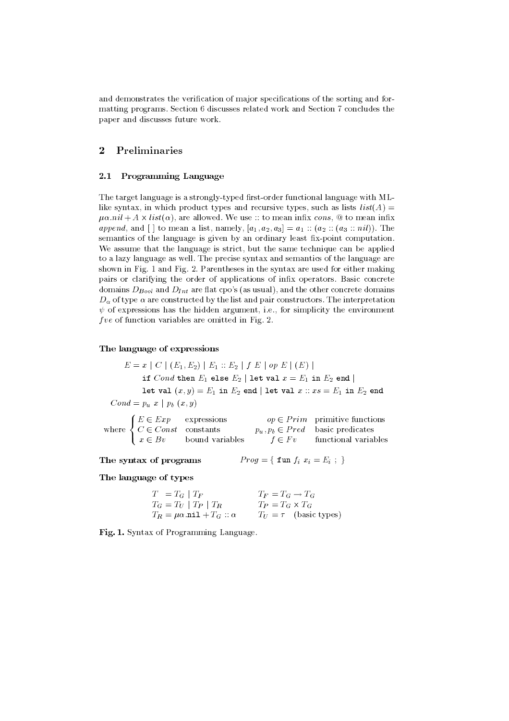and demonstrates the verification of major specifications of the sorting and formatting programs. Section 6 discusses related work and Section 7 concludes the paper and discusses future work.

### $\overline{2}$ Preliminaries

#### $2.1$ Programming Language

The target language is a strongly-typed first-order functional language with MLlike syntax, in which product types and recursive types, such as lists  $list(A)$  =  $\mu\alpha.nil + A \times list(\alpha)$ , are allowed. We use :: to mean infix cons, @ to mean infix append, and [] to mean a list, namely,  $[a_1, a_2, a_3] = a_1 :: (a_2 :: (a_3 :: nil))$ . The semantics of the language is given by an ordinary least fix-point computation. We assume that the language is strict, but the same technique can be applied to a lazy language as well. The precise syntax and semantics of the language are shown in Fig. 1 and Fig. 2. Parentheses in the syntax are used for either making pairs or clarifying the order of applications of infix operators. Basic concrete domains  $D_{Bool}$  and  $D_{Int}$  are flat cpo's (as usual), and the other concrete domains  $D_{\alpha}$  of type  $\alpha$  are constructed by the list and pair constructors. The interpretation  $\psi$  of expressions has the hidden argument, i.e., for simplicity the environment  $fve$  of function variables are omitted in Fig. 2.

### The language of expressions

 $E = x | C | (E_1, E_2) | E_1 :: E_2 | f E | op E | (E) |$ if  $Cond$  then  $E_1$  else  $E_2$  | let val  $x = E_1$  in  $E_2$  end | let val  $(x, y) = E_1$  in  $E_2$  end | let val  $x :: xs = E_1$  in  $E_2$  end  $Cond = p_u x \mid p_b (x, y)$  $\int E \in Exp$  expressions op  $\in Prim$  primitive functions<br>  $C \subseteq Const$  constants  $p_n, p_k \in Pred$  basic predicates

| where $\left\{ \right. \cup \left\{ \right. \right\}$ $\left\{ \right. \right.$ $\left\{ \right. \right.$ $\left\{ \right. \right.}$ $\left\{ \right. \right.$ $\left\{ \right. \right.$ $\left\{ \right. \right.}$ $\left\{ \right. \right.$ $\left\{ \right. \right.$ $\left\{ \right. \right\}$ |                 |            | $p_u, p_b \in Pred$ basic predicates |
|----------------------------------------------------------------------------------------------------------------------------------------------------------------------------------------------------------------------------------------------------------------------------------------------------|-----------------|------------|--------------------------------------|
| $x \in Bv$                                                                                                                                                                                                                                                                                         | bound variables | $f \in Fv$ | functional variables                 |

 $Proof$   $\{ \text{fun } f_i \ x_i = E_i \ ; \ \}$ The syntax of programs

The language of types

| $T = T_G   T_F$                                   | $T_F = T_G \rightarrow T_G$ |
|---------------------------------------------------|-----------------------------|
| $T_G = T_U   T_P   T_R$                           | $T_P = T_G \times T_G$      |
| $T_R = \mu \alpha . \texttt{nil} + T_G :: \alpha$ | $T_U = \tau$ (basic types)  |

Fig. 1. Syntax of Programming Language.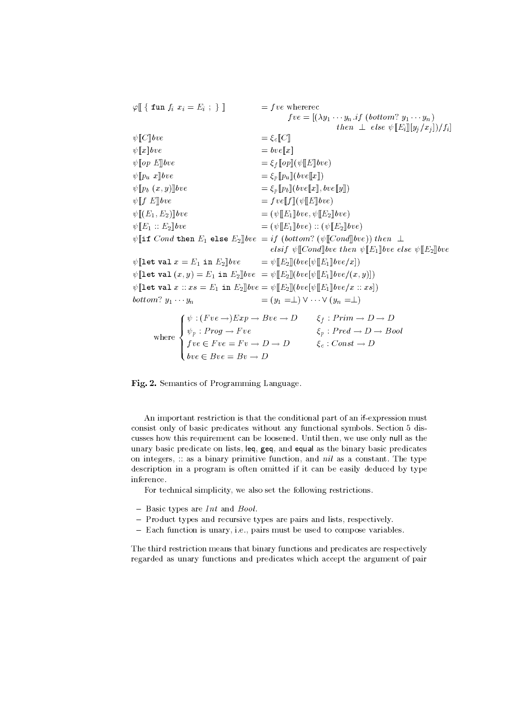$\varphi \llbracket \{$  fun  $f_i$   $x_i = E_i$ ; }  $\rrbracket$  $= fve$  whererec  $fve = [(\lambda y_1 \cdots y_n. if (bottom? y_1 \cdots y_n)$ <br>then  $\perp$  else  $\psi[[E_i]][y_j/x_j])/f_i]$  $\psi$ <sup>[</sup>C]<sup>b</sup>ve  $=\xi_c$ [C]  $\psi$   $\llbracket x \rrbracket$ bve  $= bve \llbracket x \rrbracket$  $\psi$ [[op E]]bve  $=\xi_f$ [[op]]( $\psi$ [[E]]bve)  $\psi$   $\llbracket p_u \ x \rrbracket$ bve  $=\xi_{v}[[p_u]](bve[[x]])$  $\psi[\![p_b](x,y)]\!]$ bve  $=\xi_p[[p_b]](bve[[x]],bve[[y]])$  $\psi$  *[f E]bve*  $= fve[[f]](\psi[[E]]bve)$  $= (\psi[[E_1]]$ bve,  $\psi[[E_2]]$ bve)  $\psi$   $[(E_1, E_2)]$   $bve$  $\psi[[E_1 :: E_2]]$ bve  $= (\psi[[E_1]]bve) :: (\psi[[E_2]]bve)$  $\psi$  | if Cond then  $E_1$  else  $E_2$ | bve = if (bottom? ( $\psi$  | Cond| bve)) then  $\bot$ elsif  $\psi$ <sup>[[</sup>Cond]<sup>[</sup>bve then  $\psi$ <sup>[[E<sub>1</sub>][bve else  $\psi$ [[E<sub>2</sub>]]bve</sup>  $\psi$ [let val  $x = E_1$  in  $E_2$ ][*bve*  $= \psi$ [[ $E_2$ ]][*bve*[ $\psi$ [[ $E_1$ ]]*bve*/*x*])  $\psi$ [let val  $(x, y) = E_1$  in  $E_2$ ][bve  $= \psi$ [[E<sub>2</sub>]](bve[ $\psi$ [[E<sub>1</sub>]]bve/ $(x, y)$ ])  $\psi$ [let val  $x :: xs = E_1$  in  $E_2$ ][bve =  $\psi$ [E<sub>2</sub>]](bve[ $\psi$ [E<sub>1</sub>]]bve/ $x :: xs$ ])  $= (y_1 = \perp) \vee \cdots \vee (y_n = \perp)$ bottom?  $y_1 \cdots y_n$ where  $\begin{cases} \psi: (Fve \to)Exp \to Bve \to D & \xi_f: Prim \to D \to D \\ \psi_p:Prog \to Fve & \xi_p: Pred \to D \to Bool \\ fve \in Fve = Fv \to D \to D & \xi_c: Const \to D \end{cases}$ 

Fig. 2. Semantics of Programming Language.

An important restriction is that the conditional part of an if-expression must consist only of basic predicates without any functional symbols. Section 5 discusses how this requirement can be loosened. Until then, we use only null as the unary basic predicate on lists, leq, geq, and equal as the binary basic predicates on integers, :: as a binary primitive function, and *nil* as a constant. The type description in a program is often omitted if it can be easily deduced by type inference

For technical simplicity, we also set the following restrictions.

- $-$  Basic types are Int and Bool.
- Product types and recursive types are pairs and lists, respectively.
- $-$  Each function is unary, i.e., pairs must be used to compose variables.

The third restriction means that binary functions and predicates are respectively regarded as unary functions and predicates which accept the argument of pair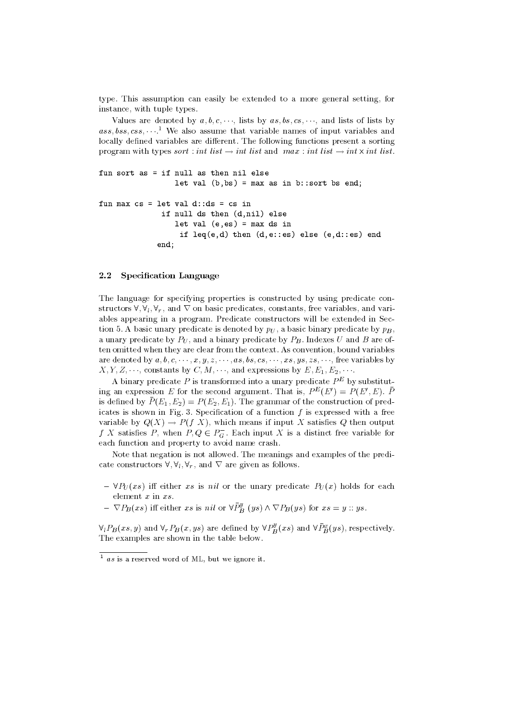type. This assumption can easily be extended to a more general setting, for instance, with tuple types.

Values are denoted by  $a, b, c, \dots$ , lists by  $as, bs, cs, \dots$ , and lists of lists by  $ass, bss, css, \dots$ <sup>1</sup> We also assume that variable names of input variables and locally defined variables are different. The following functions present a sorting program with types sort : int list  $\rightarrow$  int list and max : int list  $\rightarrow$  int  $\times$  int list.

```
fun sort as = if null as then nil else
                 let val (b, bs) = max as in b::sort bs end;
fun max cs = 1et val d:: ds = cs in
              if null ds then (d.nil) else
                 let val (e, es) = max ds in
                  if leq(e,d) then (d,e::es) else (e,d::es) end
             end;
```
#### $2.2$ **Specification Language**

The language for specifying properties is constructed by using predicate constructors  $\forall, \forall_i, \forall_r$ , and  $\nabla$  on basic predicates, constants, free variables, and variables appearing in a program. Predicate constructors will be extended in Section 5. A basic unary predicate is denoted by  $p_U$ , a basic binary predicate by  $p_B$ , a unary predicate by  $P_U$ , and a binary predicate by  $P_B$ . Indexes U and B are often omitted when they are clear from the context. As convention, bound variables are denoted by  $a, b, c, \dots, x, y, z, \dots, as, bs, cs, \dots, xs, ys, zs, \dots$ , free variables by  $X, Y, Z, \dots$ , constants by  $C, M, \dots$ , and expressions by  $E, E_1, E_2, \dots$ .

A binary predicate P is transformed into a unary predicate  $P^E$  by substituting an expression E for the second argument. That is,  $P^{E}(E') = P(E', E)$ .  $\overline{P}$ is defined by  $\bar{P}(E_1, E_2) = P(E_2, E_1)$ . The grammar of the construction of predicates is shown in Fig. 3. Specification of a function  $f$  is expressed with a free variable by  $Q(X) \to P(f X)$ , which means if input X satisfies Q then output f X satisfies P, when  $P,Q \in P_G^-$ . Each input X is a distinct free variable for each function and property to avoid name crash.

Note that negation is not allowed. The meanings and examples of the predicate constructors  $\forall, \forall_i, \forall_r$ , and  $\nabla$  are given as follows.

- $-\forall P_U(xs)$  iff either xs is nil or the unary predicate  $P_U(x)$  holds for each element  $x$  in  $xs$ .
- $-\nabla P_B(xs)$  iff either xs is nil or  $\forall \bar{P}_B^y(ys) \wedge \nabla P_B(ys)$  for  $xs = y :: ys$ .

 $\forall_i P_B(xs,y)$  and  $\forall_r P_B(x,ys)$  are defined by  $\forall P_B^y(xs)$  and  $\forall \bar{P}_B^x(ys)$ , respectively. The examples are shown in the table below.

 $1$  as is a reserved word of ML, but we ignore it.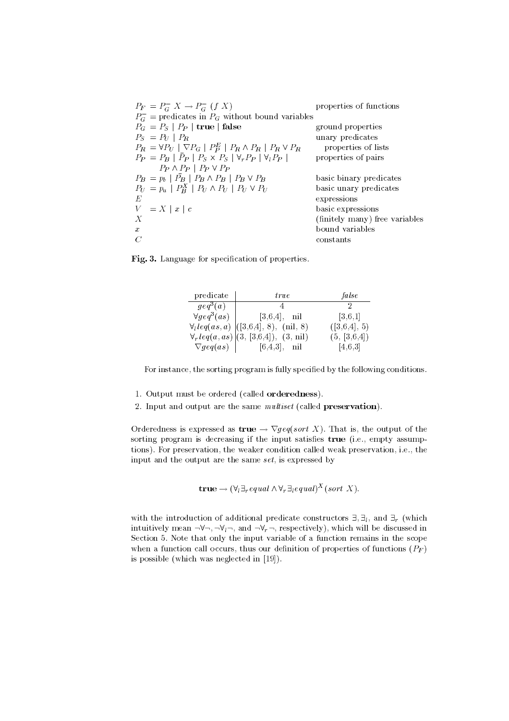| $P_F = P_G^- X \to P_G^- (f X)$                                                      | properties of functions        |
|--------------------------------------------------------------------------------------|--------------------------------|
| $P_G^-$ = predicates in $P_G$ without bound variables                                |                                |
| $P_G = P_S   P_P  $ true   false                                                     | ground properties              |
| $P_S = P_U \mid P_R$                                                                 | unary predicates               |
| $P_R = \forall P_U \mid \nabla P_G \mid P_P^E \mid P_R \wedge P_R \mid P_R \vee P_R$ | properties of lists            |
| $P_P = P_B   P_P   P_S \times P_S   \forall_r P_P   \forall_l P_P  $                 | properties of pairs            |
| $P_P \wedge P_P   P_P \vee P_P$                                                      |                                |
| $P_B = p_b   \overline{P}_B   P_B \wedge P_B   P_B \vee P_B$                         | basic binary predicates        |
| $P_U = p_u \mid P_R^X \mid P_U \wedge P_U \mid P_U \vee P_U$                         | basic unary predicates         |
| E,                                                                                   | expressions                    |
| $V = X   x   c$                                                                      | basic expressions              |
| $\boldsymbol{X}$                                                                     | (finitely many) free variables |
| $\boldsymbol{x}$                                                                     | bound variables                |
| C                                                                                    | constants                      |

Fig. 3. Language for specification of properties.

| predicate                       | true                                           | false        |
|---------------------------------|------------------------------------------------|--------------|
| $geq^3(a)$                      |                                                |              |
| $\forall$ geq <sup>3</sup> (as) | $[3,6,4], \text{nil}$                          | [3,6,1]      |
|                                 | $\forall_{l} leq(as,a)$ ([3,6,4], 8), (nil, 8) | ([3,6,4], 5) |
|                                 | $\forall$ rleq(a, as) [(3, [3,6,4]), (3, nil)  | (5, [3,6,4]) |
|                                 | $\nabla geq(as)$ [6,4,3], nil                  | [4,6,3]      |

For instance, the sorting program is fully specified by the following conditions.

- 1. Output must be ordered (called orderedness).
- 2. Input and output are the same *multiset* (called **preservation**).

Orderedness is expressed as  $true \rightarrow \nabla geg(sort X)$ . That is, the output of the sorting program is decreasing if the input satisfies true (i.e., empty assumptions). For preservation, the weaker condition called weak preservation, i.e., the input and the output are the same  $set$ , is expressed by

$$
true \to (\forall_l \exists_r equal \land \forall_r \exists_l equal)^X (sort X).
$$

with the introduction of additional predicate constructors  $\exists$ ,  $\exists$ <sub>l</sub>, and  $\exists$ <sub>r</sub> (which intuitively mean  $\neg \forall \neg, \neg \forall \neg$ , and  $\neg \forall_r \neg$ , respectively), which will be discussed in Section 5. Note that only the input variable of a function remains in the scope when a function call occurs, thus our definition of properties of functions  $(P_F)$ is possible (which was neglected in [19]).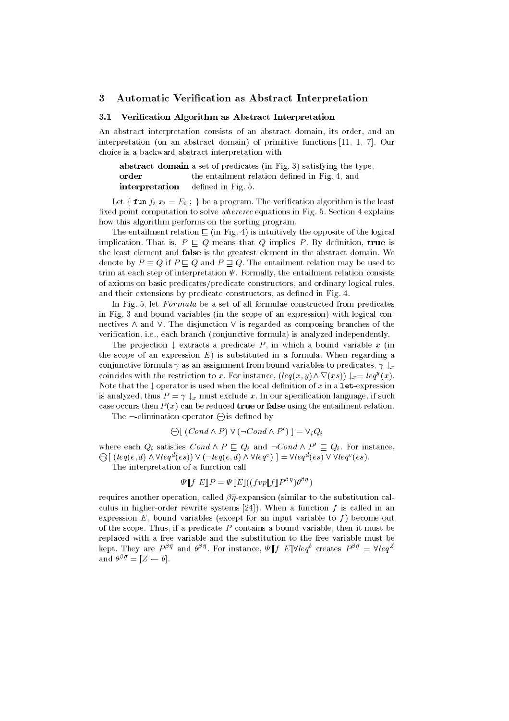### **Automatic Verification as Abstract Interpretation**  $\bf{3}$

#### $3.1$ Verification Algorithm as Abstract Interpretation

An abstract interpretation consists of an abstract domain, its order, and an interpretation (on an abstract domain) of primitive functions [11, 1, 7]. Our choice is a backward abstract interpretation with

abstract domain a set of predicates (in Fig. 3) satisfying the type, order the entailment relation defined in Fig. 4, and interpretation defined in Fig. 5.

Let {  $\text{fun } f_i$   $x_i = E_i$ ; } be a program. The verification algorithm is the least fixed point computation to solve *whererec* equations in Fig. 5. Section 4 explains how this algorithm performs on the sorting program.

The entailment relation  $\Box$  (in Fig. 4) is intuitively the opposite of the logical implication. That is,  $P \sqsubset Q$  means that Q implies P. By definition, true is the least element and false is the greatest element in the abstract domain. We denote by  $P \equiv Q$  if  $P \sqsubseteq Q$  and  $P \sqsupseteq Q$ . The entailment relation may be used to trim at each step of interpretation  $\Psi$ . Formally, the entailment relation consists of axioms on basic predicates/predicate constructors, and ordinary logical rules, and their extensions by predicate constructors, as defined in Fig. 4.

In Fig. 5, let Formula be a set of all formulae constructed from predicates in Fig. 3 and bound variables (in the scope of an expression) with logical connectives  $\wedge$  and  $\vee$ . The disjunction  $\vee$  is regarded as composing branches of the verification, i.e., each branch (conjunctive formula) is analyzed independently.

The projection  $\downarrow$  extracts a predicate P, in which a bound variable x (in the scope of an expression  $E$ ) is substituted in a formula. When regarding a conjunctive formula  $\gamma$  as an assignment from bound variables to predicates,  $\gamma \downarrow_x$ coincides with the restriction to x. For instance,  $(\text{leq}(x, y) \wedge \nabla(x s)) \downarrow_x = \text{leq}^y(x)$ . Note that the  $\downarrow$  operator is used when the local definition of x in a **let**-expression is analyzed, thus  $P = \gamma \downarrow_x$  must exclude x. In our specification language, if such case occurs then  $P(x)$  can be reduced **true** or **false** using the entailment relation

The  $\neg$ -elimination operator  $\bigcirc$  is defined by

$$
\bigcap [ (Cond \wedge P) \vee (\neg Cond \wedge P')] = \vee_i Q_i
$$

where each  $Q_i$  satisfies  $Cond \wedge P \sqsubseteq Q_i$  and  $\neg Cond \wedge P' \sqsubseteq Q_i$ . For instance,  $\bigoplus [ (leg(e, d) \wedge \forall leg^d(es)) \vee (\neg leg(e, d) \wedge \forall leg^e) ] = \forall leg^d(es) \vee \forall leg^e(es).$ 

The interpretation of a function call

$$
\Psi[\![f\ E]\!] P = \Psi[\![E]\!](\{fvp[\![f]\!] P^{\beta\,\overline{\eta}})\theta^{\beta\,\overline{\eta}}\}
$$

requires another operation, called  $\beta \bar{\eta}$ -expansion (similar to the substitution calculus in higher-order rewrite systems [24]). When a function  $f$  is called in an expression E, bound variables (except for an input variable to f) become out of the scope. Thus, if a predicate  $P$  contains a bound variable, then it must be replaced with a free variable and the substitution to the free variable must be kept. They are  $P^{\beta\bar{\eta}}$  and  $\theta^{\beta\bar{\eta}}$ . For instance,  $\Psi$  of  $E$   $\forall$ leg<sup>b</sup> creates  $P^{\beta\bar{\eta}} = \forall$ leg<sup>Z</sup> and  $\theta^{\beta \bar{\eta}} = [Z \leftarrow b].$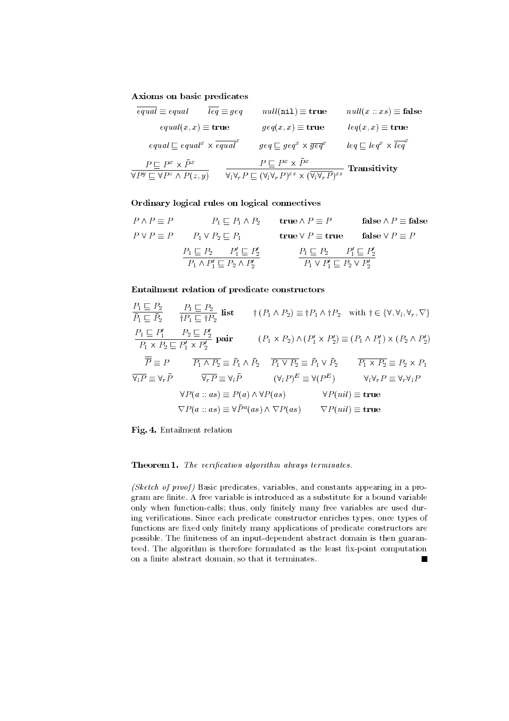### Axioms on basic predicates

$$
\overline{equal} \equiv equal \qquad \overline{leq} \equiv geg \qquad null(\text{nil}) \equiv \text{true} \qquad null(x::xs) \equiv \text{false}
$$
\n
$$
equal(x,x) \equiv \text{true} \qquad geq(x,x) \equiv \text{true} \qquad leq(x,x) \equiv \text{true}
$$
\n
$$
equal \sqsubseteq equal^x \times \overline{equal^x} \qquad geq \sqsubseteq geq^x \times \overline{geq^x} \qquad leq \sqsubseteq leq^x \times \overline{leq^x}
$$
\n
$$
\overline{PP^x \sqsubseteq \overline{PP^x} \land P(z,y)} \qquad \overline{\forall_l \forall_r P \sqsubseteq (\forall_l \forall_r P)^{xs} \times (\overline{\forall_l \forall_r P})^{xs}} \qquad \text{Transitivity}
$$

### Ordinary logical rules on logical connectives

$$
P \wedge P \equiv P
$$
  
\n
$$
P \vee P \equiv P
$$
  
\n
$$
P \vee P \equiv P
$$
  
\n
$$
P_1 \subseteq P_1 \wedge P_2
$$
  
\n
$$
P_2 \subseteq P_1
$$
  
\n
$$
P_1 \subseteq P_2
$$
  
\n
$$
P_1' \subseteq P_2'
$$
  
\n
$$
P_1' \subseteq P_2' \wedge P_2'
$$
  
\n
$$
P_1 \subseteq P_2 \wedge P_2'
$$
  
\n
$$
P_1 \vee P_1' \subseteq P_2 \vee P_2'
$$
  
\n
$$
P_1 \vee P_1' \subseteq P_2 \vee P_2'
$$
  
\n
$$
P_1 \vee P_1' \subseteq P_2 \vee P_2'
$$
  
\n
$$
P_1 \vee P_1' \subseteq P_2 \vee P_2'
$$
  
\n
$$
P_1 \vee P_1' \subseteq P_2 \vee P_2'
$$
  
\n
$$
P_1 \vee P_1' \subseteq P_2 \vee P_2'
$$
  
\n
$$
P_1 \vee P_1' \subseteq P_2 \vee P_2'
$$

### Entailment relation of predicate constructors

$$
\frac{P_1 \subseteq P_2}{\overline{P}_1 \subseteq \overline{P}_2} \qquad \frac{P_1 \subseteq P_2}{\dagger P_1 \subseteq \dagger P_2} \text{ list } \qquad \dagger (P_1 \land P_2) \equiv \dagger P_1 \land \dagger P_2 \quad \text{with } \dagger \in \{\forall, \forall_l, \forall_r, \nabla\}
$$
\n
$$
\frac{P_1 \subseteq P'_1}{P_1 \times P_2 \subseteq P'_1 \times P'_2} \text{ pair } \qquad (P_1 \times P_2) \land (P'_1 \times P'_2) \equiv (P_1 \land P'_1) \times (P_2 \land P'_2)
$$
\n
$$
\overline{\overline{P}} \equiv P \qquad \overline{P_1 \land P_2} \equiv \overline{P_1} \land \overline{P_2} \qquad \overline{P_1 \lor P_2} \equiv \overline{P_1} \lor \overline{P_2} \qquad \overline{P_1 \times P_2} \equiv P_2 \times P_1
$$
\n
$$
\overline{\forall_l P} \equiv \forall_r \overline{P} \qquad \overline{\forall_r P} \equiv \forall_l \overline{P} \qquad (\forall_l P)^E \equiv \forall (P^E) \qquad \forall_l \forall_r P \equiv \forall_r \forall_l P
$$
\n
$$
\forall P(a::as) \equiv P(a) \land \forall P(as) \qquad \forall P(nil) \equiv \text{true}
$$
\n
$$
\nabla P(a::as) \equiv \forall \overline{P}^a(as) \land \nabla P(as) \qquad \nabla P(nil) \equiv \text{true}
$$

Fig. 4. Entailment relation

### Theorem 1. The verification algorithm always terminates.

(Sketch of proof) Basic predicates, variables, and constants appearing in a program are finite. A free variable is introduced as a substitute for a bound variable only when function-calls; thus, only finitely many free variables are used during verifications. Since each predicate constructor enriches types, once types of functions are fixed only finitely many applications of predicate constructors are possible. The finiteness of an input-dependent abstract domain is then guaranteed. The algorithm is therefore formulated as the least fix-point computation on a finite abstract domain, so that it terminates.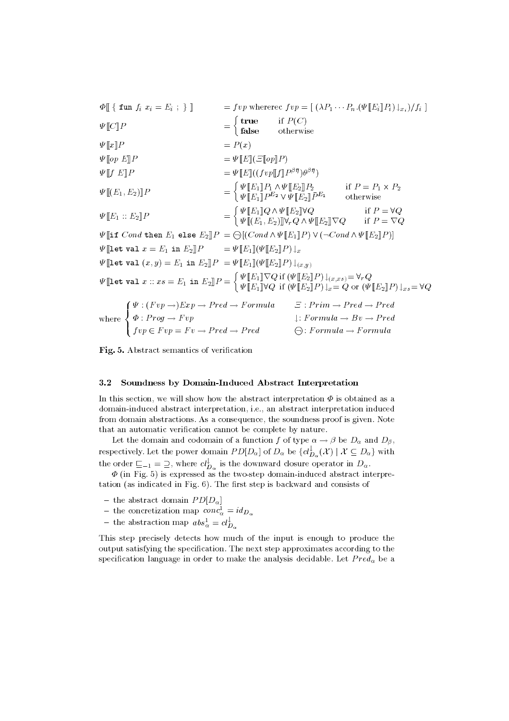$\begin{aligned} & = fvp \text{ where } cyp = [\ (\lambda P_1 \cdots P_n . (\Psi [\![ E_i ]\!] P_i) \!\downarrow_{x_i})/f_i\ ] \\ & = \left\{ \begin{aligned} & \textbf{true} && \text{if } P(C) \\ & \textbf{false} && \text{otherwise} \end{aligned} \right. \end{aligned}$  $\Phi \llbracket \{ \text{ fun } f_i \ x_i = E_i \ ; \ \} \rrbracket$  $\varPsi[\![C]\!]P$  $\Psi$ [ $x$ ] $P$  $= P(x)$  $= \Psi \llbracket E \rrbracket (\varXi \llbracket op \rrbracket P)$  $\Psi$ [op E]]P  $= \Psi \llbracket E \rrbracket ((f v p \llbracket f \rrbracket P^{\beta \bar{\eta}}) \theta^{\beta \bar{\eta}}$  $\Psi$  of  $E$   $P$  $\begin{aligned} &\qquad=\begin{cases} \Psi \llbracket E_1 \rrbracket P_1 \wedge \Psi \llbracket E_2 \rrbracket P_2 & \text{if } P=P_1 \times P_2 \\ \Psi \llbracket E_1 \rrbracket P^{E_2} \vee \Psi \llbracket E_2 \rrbracket \bar{P}^{E_1} & \text{otherwise} \end{cases} \\ &=\begin{cases} \Psi \llbracket E_1 \rrbracket Q \wedge \Psi \llbracket E_2 \rrbracket \forall Q & \text{if } P=\forall Q \\ \Psi \llbracket (E_1,E_2) \rrbracket \forall_T Q \wedge \Psi \llbracket E_2 \rrbracket \nabla Q & \text{if$  $\Psi[[E_1,E_2]]P$  $\Psi$ [E<sub>1</sub> :: E<sub>2</sub>][P  $\Psi$ [if Cond then  $E_1$  else  $E_2$ ] $P = \bigoplus [(Cond \wedge \Psi |E_1|]P) \vee (\neg Cond \wedge \Psi |E_2|]P)]$  $\Psi$ [let val  $x = E_1$  in  $E_2$ ]] $P$  $=\Psi$ [E<sub>1</sub>]( $\Psi$ [E<sub>2</sub>][P)]<sub>r</sub>  $\Psi$ [let val  $(x, y) = E_1$  in  $E_2$ ] $P = \Psi$ [ $E_1$ ]] $(\Psi$ [ $E_2$ ]] $P) \downarrow_{(x, y)}$ <br>  $\Psi$ [let val  $x :: xs = E_1$  in  $E_2$ ]] $P = \begin{cases} \Psi$ [ $E_1$ ]] $\nabla Q$  if  $(\Psi$ [[ $E_2$ ]] $P) \downarrow_{(x, xs)} = \forall_r Q \ \Psi$ [[ $E_1$ ]] $\nabla Q$  if  $(\Psi$ [[ $E_2$ ]] $P) \downarrow_{x} = Q$  or  $(\Psi$ where  $\begin{cases} \Psi: (Fvp \to)Exp \to Pred \to Formula & \Xi:Prim \to Pred \to Pred \\ \Phi:Prog \to Fvp & \downarrow:Formula \to Bv \to Pred \\ fvp \in Fvp = Fv \to Pred \to Pred & \ominus:Formula \to Formula \end{cases}$ 

Fig. 5. Abstract semantics of verification

### Soundness by Domain-Induced Abstract Interpretation  $3.2$

In this section, we will show how the abstract interpretation  $\Phi$  is obtained as a domain-induced abstract interpretation, i.e., an abstract interpretation induced from domain abstractions. As a consequence, the soundness proof is given. Note that an automatic verification cannot be complete by nature.

Let the domain and codomain of a function f of type  $\alpha \to \beta$  be  $D_{\alpha}$  and  $D_{\beta}$ , respectively. Let the power domain  $PD[D_\alpha]$  of  $D_\alpha$  be  $\{cl_{D_\alpha}^{\downarrow}(\mathcal{X}) \mid \mathcal{X} \subseteq D_\alpha\}$  with the order  $\underline{\sqsubseteq}_{-1} = \underline{\supset}$ , where  $cl_{D_{\infty}}^{\downarrow}$  is the downward closure operator in  $D_{\alpha}$ .

 $\Phi$  (in Fig. 5) is expressed as the two-step domain-induced abstract interpretation (as indicated in Fig. 6). The first step is backward and consists of

- the abstract domain  $PD[D_\alpha]$
- the concretization map  $\arccos \frac{1}{\alpha}$  =  $id_{D_{\alpha}}$
- the abstraction map  $abs_{\alpha}^1 = cl_{D_{\alpha}}^1$

This step precisely detects how much of the input is enough to produce the output satisfying the specification. The next step approximates according to the specification language in order to make the analysis decidable. Let  $Pred_{\alpha}$  be a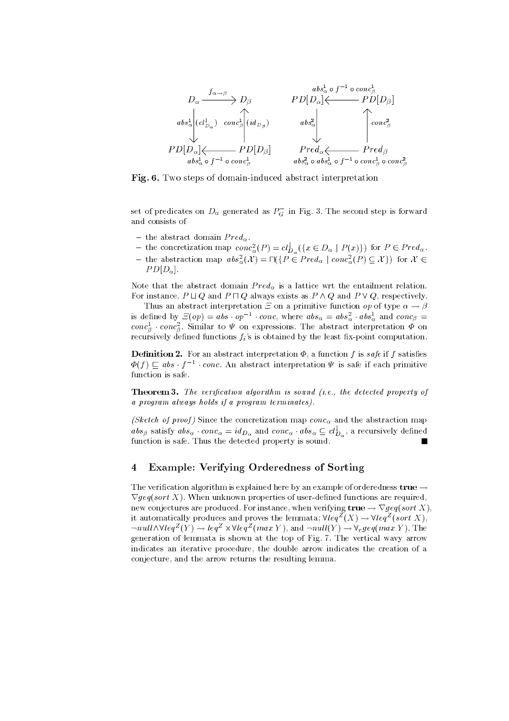

Fig. 6. Two steps of domain-induced abstract interpretation

set of predicates on  $D_{\alpha}$  generated as  $P_{G}^{-}$  in Fig. 3. The second step is forward and consists of

- the abstract domain  $Pred_{\alpha}$ .
- the concretization map  $conc_{\alpha}^{2}(P) = cl_{D_{\alpha}}^{1}(\{x \in D_{\alpha} \mid P(x)\})$  for  $P \in Pred_{\alpha}$ .
- the abstraction map  $abs_{\alpha}^{2}(\mathcal{X}) = \Pi(\lbrace P \in Pred_{\alpha} \mid cone_{\alpha}^{2}(P) \subset \mathcal{X} \rbrace)$  for  $\mathcal{X} \in$  $PD[D_{\alpha}].$

Note that the abstract domain  $Pred_{\alpha}$  is a lattice wrt the entailment relation. For instance,  $P \sqcup Q$  and  $P \sqcap Q$  always exists as  $P \land Q$  and  $P \lor Q$ , respectively.

Thus an abstract interpretation  $\Xi$  on a primitive function op of type  $\alpha \to \beta$ is defined by  $\Xi(op) = abs \cdot op^{-1} \cdot conc$ , where  $abs_{\alpha} = abs_{\alpha}^2 \cdot abs_{\alpha}^1$  and  $conc_{\beta} = conc_{\beta}^1 \cdot conc_{\beta}^2$ . Similar to  $\Psi$  on expressions. The abstract interpretation  $\Phi$  on recursively defined functions  $f_i$ 's is obtained by the least fix-point computation.

**Definition 2.** For an abstract interpretation  $\Phi$ , a function f is safe if f satisfies  $\Phi(f) \sqsubseteq abs \cdot f^{-1} \cdot conc$ . An abstract interpretation  $\Psi$  is safe if each primitive function is safe.

**Theorem 3.** The verification algorithm is sound (i.e., the detected property of a program always holds if a program terminates).

(Sketch of proof) Since the concretization map  $conc_{\alpha}$  and the abstraction map  $abs_{\beta}$  satisfy  $abs_{\alpha} \cdot conc_{\alpha} = id_{D_{\alpha}}$  and  $conc_{\alpha} \cdot abs_{\alpha} \subseteq cl_{D_{\alpha}}^{\downarrow}$ , a recursively defined function is safe. Thus the detected property is sound.

### **Example: Verifying Orderedness of Sorting**  $\overline{\mathbf{4}}$

The verification algorithm is explained here by an example of orderedness  $true \rightarrow$  $\nabla$ geg(sort X). When unknown properties of user-defined functions are required, new conjectures are produced. For instance, when verifying  $true \rightarrow \nabla geq(sort X)$ it automatically produces and proves the lemmata;  $\forall leg^Z(X) \rightarrow \forall leg^Z(sort X)$ ,  $\neg null \wedge \forall \text{leg}^Z(Y) \rightarrow \text{leg}^Z \times \forall \text{leg}^Z(max Y), \text{and } \neg null(Y) \rightarrow \forall \text{reg}(\text{max } Y).$  The generation of lemmata is shown at the top of Fig. 7. The vertical wavy arrow indicates an iterative procedure, the double arrow indicates the creation of a conjecture, and the arrow returns the resulting lemma.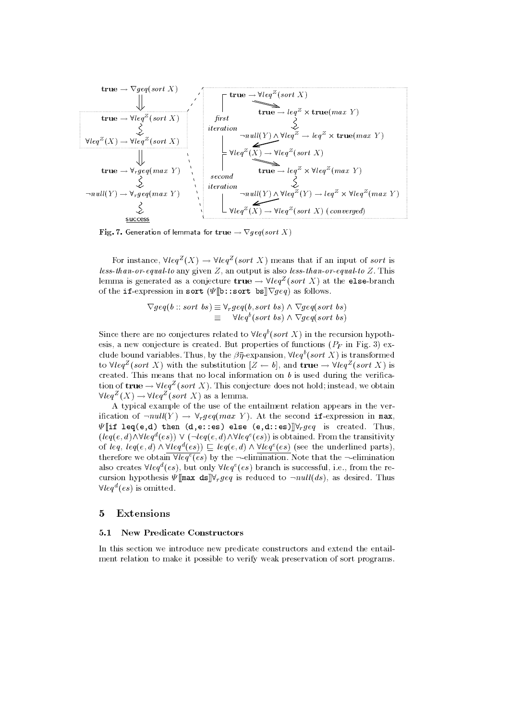

Fig. 7. Generation of lemmata for true  $\rightarrow \nabla g e q (sort X)$ 

For instance,  $\forall leg^Z(X) \rightarrow \forall leg^Z(sort\ X)$  means that if an input of sort is  $less$ -than-or-equal-to any given Z, an output is also less-than-or-equal-to Z. This lemma is generated as a conjecture  $true \rightarrow \forall leg^{Z}(sort X)$  at the else-branch of the if-expression in sort  $(\Psi[\mathbf{b}::\texttt{sort } \mathbf{bs}]\nabla geq)$  as follows.

 $\begin{align*}\n\nabla g e q(b::sort bs) &\equiv \forall_r g e q(b, sort bs) \land \nabla g e q (sort bs) \\
&\equiv \forall le q^b (sort bs) \land \nabla g e q (sort bs)\n\end{align*}$ 

Since there are no conjectures related to  $\forall leg^b(sort\ X)$  in the recursion hypothesis, a new conjecture is created. But properties of functions  $(P_F \text{ in Fig. 3})$  exclude bound variables. Thus, by the  $\beta \bar{\eta}$ -expansion,  $\forall leg^b(sort\ X)$  is transformed to  $\forall leq^Z (sort X)$  with the substitution  $[Z \leftarrow b]$ , and  $true \rightarrow \forall leq^Z (sort X)$  is created. This means that no local information on  $b$  is used during the verification of true  $\rightarrow \forall leq^Z (sort X)$ . This conjecture does not hold; instead, we obtain  $\forall leg^{Z}(X) \rightarrow \forall leg^{Z}(sort X)$  as a lemma.

A typical example of the use of the entailment relation appears in the verification of  $\neg null(Y) \rightarrow \forall_{r} geq(max Y)$ . At the second if-expression in max,  $\Psi$  |if leq(e,d) then (d,e::es) else (e,d::es)  $\forall$ rgeq is created. Thus,  $(leg(e, d) \land \forall leg^d(es)) \lor (\neg leg(e, d) \land \forall leg^e(es))$  is obtained. From the transitivity of leq,  $leq(e,d) \wedge \forall leq^d(es)) \sqsubseteq leq(e,d) \wedge \forall leq^e(es)$  (see the underlined parts), therefore we obtain  $\forall leq^e(e_s)$  by the  $\neg$ -elimination. Note that the  $\neg$ -elimination also creates  $\forall \text{leg}^d(e\text{s})$ , but only  $\forall \text{leg}^e(e\text{s})$  branch is successful, i.e., from the recursion hypothesis  $\Psi$   $\mathbb{R}$  ax ds  $\mathbb{V}_r$  geq is reduced to  $\neg null(ds)$ , as desired. Thus  $\forall$ leg<sup>d</sup>(es) is omitted.

### Extensions  $\overline{5}$

#### $5.1$ New Predicate Constructors

In this section we introduce new predicate constructors and extend the entailment relation to make it possible to verify weak preservation of sort programs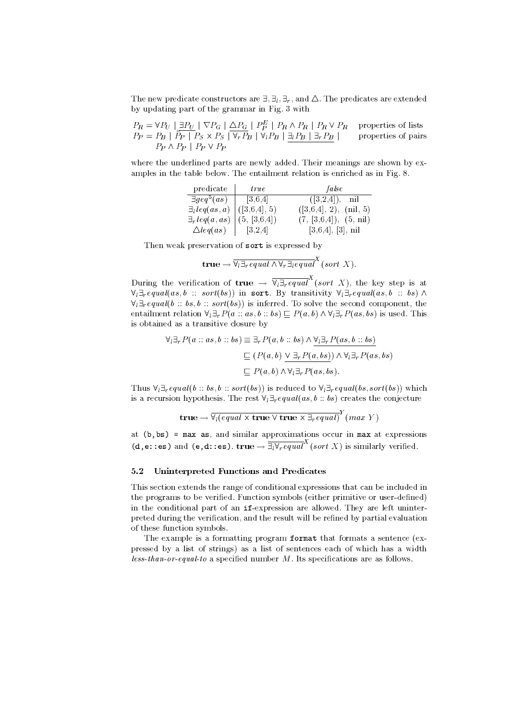The new predicate constructors are  $\exists, \exists_i, \exists_r$ , and  $\Delta$ . The predicates are extended by updating part of the grammar in Fig. 3 with

 $P_R = \forall P_U \mid \underline{\exists P_U} \mid \nabla P_G \mid \underline{\Delta P_G} \mid P_P^E \mid P_R \wedge P_R \mid P_R \vee P_R$ properties of lists  $P_P = P_B | \overline{P_P | P_S \times P_S} | \overline{\forall_r P_B | \forall_l P_B | \exists_l P_B | \exists_r P_B |}$ properties of pairs  $P_P \wedge P_P$  |  $P_P \vee P_P$ 

where the underlined parts are newly added. Their meanings are shown by examples in the table below. The entailment relation is enriched as in Fig. 8.

| predicate                                           | true         | false                   |
|-----------------------------------------------------|--------------|-------------------------|
| $\exists \text{geq} \{q^5(as)   [3,6,4] \}$         |              | $([3,2,4])$ , nil       |
| $\exists_{l} \text{leq}(as, a) \mid ([3, 6, 4], 5)$ |              | ([3,6,4], 2), (nil, 5)  |
| $\exists$ <sub>r</sub> $leq(a,as)$                  | (5, [3,6,4]) | (7, [3,6,4]), (5, nil)  |
| $\triangle$ leg(as)                                 | [3,2,4]      | $[3,6,4]$ , $[3]$ , nil |

Then weak preservation of sort is expressed by

$$
true \to \overline{\forall_{l} \exists_{r} equal \land \forall_{r} \exists_{l} equal}^{X} (sort X).
$$

During the verification of true  $\rightarrow \overline{\forall_i \exists_r \in qual}^X(sort X)$ , the key step is at  $\forall i \exists$ <sub>r</sub> equal(as, b :: sort(bs)) in sort. By transitivity  $\forall i \exists$ <sub>r</sub> equal(as, b :: bs)  $\land$  $\forall i \exists_{r} equal(b::bs,b::sort(bs))$  is inferred. To solve the second component, the entailment relation  $\forall i \exists_r P(a::as,b::bs) \sqsubseteq P(a,b) \wedge \forall i \exists_r P(as,bs)$  is used. This is obtained as a transitive closure by

$$
\forall_l \exists_r P(a::as,b::bs) \equiv \exists_r P(a,b::bs) \land \underbrace{\forall_l \exists_r P(as,b::bs)}_{\sqsubseteq} (P(a,b) \lor \exists_r P(a,bs)) \land \forall_l \exists_r P(as,bs)
$$

$$
\sqsubseteq P(a,b) \land \forall_l \exists_r P(as,bs).
$$

Thus  $\forall i \exists_{r} \in qual(b::bs,b::sort(bs))$  is reduced to  $\forall i \exists_{r} \in qual(bs, sort(bs))$  which is a recursion hypothesis. The rest  $\forall i \exists_{r} equal(as, b::bs)$  creates the conjecture

$$
true \rightarrow \overline{\forall_{l}(equal \times true \vee true \times \exists_{r} equal)}^{r} (max Y)
$$

at  $(b, bs)$  = max as, and similar approximations occur in max at expressions (d,e: :es) and (e,d: :es). true  $\rightarrow \overline{\exists l} \forall_{\text{regular}}^X(\text{sort } X)$  is similarly verified.

#### 5.2 **Uninterpreted Functions and Predicates**

This section extends the range of conditional expressions that can be included in the programs to be verified. Function symbols (either primitive or user-defined) in the conditional part of an if-expression are allowed. They are left uninterpreted during the verification, and the result will be refined by partial evaluation of these function symbols.

The example is a formatting program format that formats a sentence (expressed by a list of strings) as a list of sentences each of which has a width less-than-or-equal-to a specified number  $M$ . Its specifications are as follows.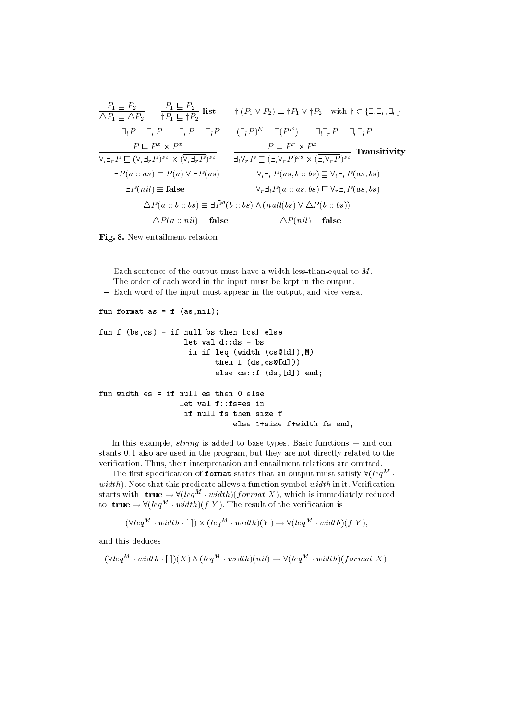$$
\frac{P_1 \subseteq P_2}{\Delta P_1 \subseteq \Delta P_2} \quad \frac{P_1 \subseteq P_2}{\dagger P_1 \subseteq \dagger P_2} \text{ list} \quad \dagger (P_1 \vee P_2) \equiv \dagger P_1 \vee \dagger P_2 \quad \text{with } \dagger \in \{\exists, \exists_l, \exists_r\}
$$
\n
$$
\overline{\exists_l P} \equiv \exists_r \overline{P} \quad \overline{\exists_r P} \equiv \exists_l \overline{P} \quad (\exists_l P)^E \equiv \exists (P^E) \quad \exists_l \exists_r P \equiv \exists_r \exists_l P
$$
\n
$$
\frac{P \subseteq P^x \times \overline{P}^x}{\forall_l \exists_r P \subseteq (\forall_l \exists_r P)^{xs} \times (\overline{\forall_l \exists_r P})^{xs}} \quad \frac{P \subseteq P^x \times \overline{P}^x}{\exists_l \forall_r P \subseteq (\exists_l \forall_r P)^{xs} \times (\overline{\exists_l \forall_r P})^{xs}} \text{Transitivity}
$$
\n
$$
\exists P(a::as) \equiv P(a) \vee \exists P(as) \quad \forall_l \exists_r P(as, b::bs) \subseteq \forall_l \exists_r P(as, bs)
$$
\n
$$
\exists P(nil) \equiv \text{false} \quad \forall_r \exists_l P(a::as, bs) \subseteq \forall_r \exists_l P(as, bs)
$$
\n
$$
\Delta P(a::b::bs) \equiv \exists \overline{P}^a(b::bs) \wedge (null(bs) \vee \Delta P(b::bs))
$$
\n
$$
\Delta P(nil) \equiv \text{false} \quad \Delta P(nil) \equiv \text{false}
$$

Fig. 8. New entailment relation

- Each sentence of the output must have a width less-than-equal to  $M$ . - The order of each word in the input must be kept in the output. - Each word of the input must appear in the output, and vice versa. fun format as =  $f$  (as, nil); fun  $f(bs, cs) = if null bs then [cs] else$  $let val d::ds = bs$ in if leq (width (cs@[d]), M) then  $f$   $(ds, cs@[d]))$ else  $cs::f$  (ds, [d]) end; fun width es = if null es then 0 else let val f::fs=es in if null fs then size f else 1+size f+width fs end;

In this example, *string* is added to base types. Basic functions  $+$  and constants 0, 1 also are used in the program, but they are not directly related to the verification. Thus, their interpretation and entailment relations are omitted.

The first specification of format states that an output must satisfy  $\forall$ (leg<sup>M</sup>.  $width$ ). Note that this predicate allows a function symbol  $width$  in it. Verification starts with  ${\bf true} \rightarrow \forall (leq^M \cdot width)(format X)$ , which is immediately reduced to  ${\bf true} \rightarrow \forall (leq^M \cdot width)(f \ Y)$ . The result of the verification is

$$
(\forall leq^M \cdot width \cdot [\ ]) \times (leq^M \cdot width)(Y) \rightarrow \forall (leq^M \cdot width)(fY),
$$

and this deduces

$$
(\forall leg^M \cdot width \cdot [ ])(X) \wedge (leg^M \cdot width)(nil) \rightarrow \forall (leg^M \cdot width)(format X).
$$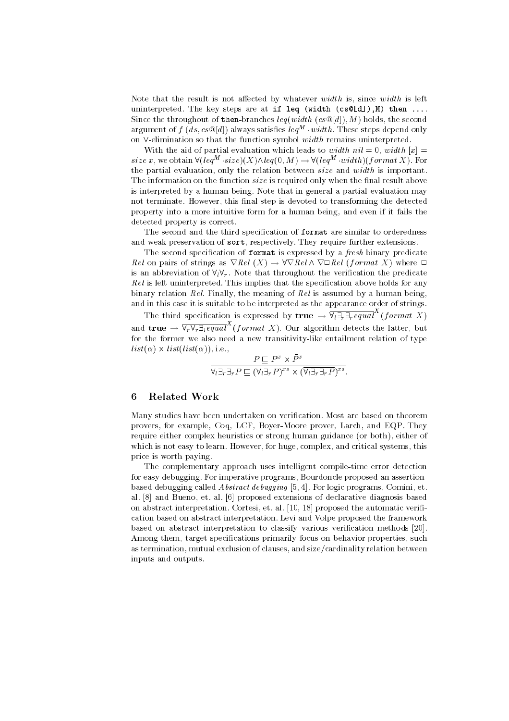Note that the result is not affected by whatever  $width$  is, since  $width$  is left uninterpreted. The key steps are at if leq (width (cs@[d]), M) then .... Since the throughout of then-branches  $leq(width (cs@[d]), M)$  holds, the second argument of  $f(ds, cs@[d])$  always satisfies  $leq^M \cdot width$ . These steps depend only on  $\vee$ -elimination so that the function symbol width remains uninterpreted.

With the aid of partial evaluation which leads to *width*  $nil = 0$ , *width*  $[x] =$ size x, we obtain  $\forall (leg^M \cdot size)(X) \wedge leg(0, M) \rightarrow \forall (leg^M \cdot width)(format X)$ . For the partial evaluation, only the relation between size and width is important. The information on the function size is required only when the final result above is interpreted by a human being. Note that in general a partial evaluation may not terminate. However, this final step is devoted to transforming the detected property into a more intuitive form for a human being, and even if it fails the detected property is correct.

The second and the third specification of format are similar to orderedness and weak preservation of sort, respectively. They require further extensions.

The second specification of format is expressed by a *fresh* binary predicate Rel on pairs of strings as  $\nabla$  Rel  $(X) \rightarrow \forall \nabla$  Rel  $\wedge \nabla \Box$  Rel  $(format X)$  where  $\Box$ is an abbreviation of  $\forall_i \forall_r$ . Note that throughout the verification the predicate *Rel* is left uninterpreted. This implies that the specification above holds for any binary relation Rel. Finally, the meaning of Rel is assumed by a human being, and in this case it is suitable to be interpreted as the appearance order of strings.

The third specification is expressed by true  $\rightarrow \overline{\forall i \exists r \exists r \in qual}^{1}$  (format X) and true  $\rightarrow \overline{\forall_r \forall_r \exists_l \in qual}^X (format X)$ . Our algorithm detects the latter, but for the former we also need a new transitivity-like entailment relation of type  $list(\alpha) \times list(list(\alpha))$ , i.e.,

$$
\frac{P \sqsubseteq P^x \times \bar{P}^x}{\forall_l \exists_r \exists_r P \sqsubseteq (\forall_l \exists_r P)^{xs} \times (\overline{\forall_l \exists_r \exists_r P})^{xs}}
$$

### $\boldsymbol{6}$ **Related Work**

Many studies have been undertaken on verification. Most are based on theorem provers, for example, Coq, LCF, Boyer-Moore prover, Larch, and EQP. They require either complex heuristics or strong human guidance (or both), either of which is not easy to learn. However, for huge, complex, and critical systems, this price is worth paying.

The complementary approach uses intelligent compile-time error detection for easy debugging. For imperative programs, Bourdoncle proposed an assertionbased debugging called *Abstract debugging* [5, 4]. For logic programs, Comini, et. al. [8] and Bueno, et. al. [6] proposed extensions of declarative diagnosis based on abstract interpretation. Cortesi, et. al. [10, 18] proposed the automatic verification based on abstract interpretation. Levi and Volpe proposed the framework based on abstract interpretation to classify various verification methods [20]. Among them, target specifications primarily focus on behavior properties, such as termination, mutual exclusion of clauses, and size/cardinality relation between inputs and outputs.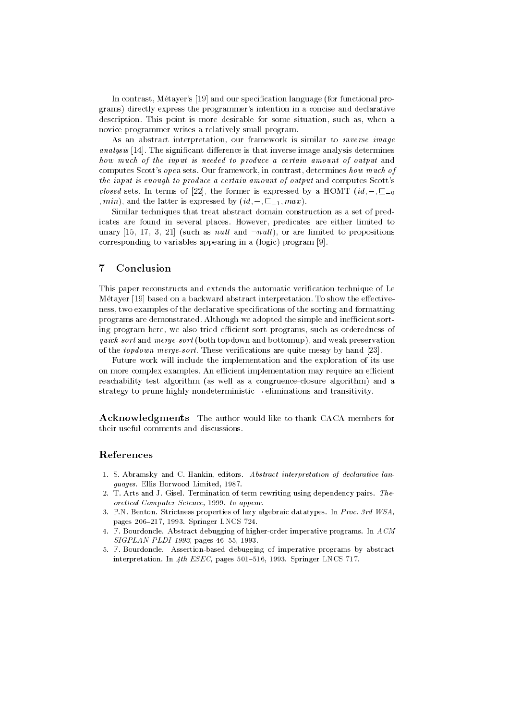In contrast, Métayer's [19] and our specification language (for functional programs) directly express the programmer's intention in a concise and declarative description. This point is more desirable for some situation, such as, when a novice programmer writes a relatively small program.

As an abstract interpretation, our framework is similar to *inverse image analysis* [14]. The significant difference is that inverse image analysis determines how much of the input is needed to produce a certain amount of output and computes Scott's open sets. Our framework, in contrast, determines how much of the input is enough to produce a certain amount of output and computes Scott's *closed* sets. In terms of [22], the former is expressed by a HOMT  $(id, -, \sqsubseteq_{-0}$ , min), and the latter is expressed by  $(id, -, \sqsubset_{-1}, max)$ .

Similar techniques that treat abstract domain construction as a set of predicates are found in several places. However, predicates are either limited to unary [15, 17, 3, 21] (such as *null* and  $\neg null$ , or are limited to propositions corresponding to variables appearing in a (logic) program [9].

### 7 Conclusion

This paper reconstructs and extends the automatic verification technique of Le Métayer [19] based on a backward abstract interpretation. To show the effectiveness, two examples of the declarative specifications of the sorting and formatting programs are demonstrated. Although we adopted the simple and inefficient sorting program here, we also tried efficient sort programs, such as orderedness of *quick-sort* and *merge-sort* (both topdown and bottomup), and weak preservation of the *topdown merge-sort*. These verifications are quite messy by hand [23].

Future work will include the implementation and the exploration of its use on more complex examples. An efficient implementation may require an efficient reachability test algorithm (as well as a congruence-closure algorithm) and a strategy to prune highly-nondeterministic  $\neg$ -eliminations and transitivity.

Acknowledgments The author would like to thank CACA members for their useful comments and discussions.

### References

- 1. S. Abramsky and C. Hankin, editors. Abstract interpretation of declarative languages. Ellis Horwood Limited, 1987.
- 2. T. Arts and J. Gisel. Termination of term rewriting using dependency pairs. Theoretical Computer Science, 1999. to appear.
- 3. P.N. Benton. Strictness properties of lazy algebraic datatypes. In Proc. 3rd WSA, pages 206-217, 1993. Springer LNCS 724.
- 4. F. Bourdoncle. Abstract debugging of higher-order imperative programs. In ACM SIGPLAN PLDI 1993, pages 46-55, 1993.
- 5. F. Bourdoncle. Assertion-based debugging of imperative programs by abstract interpretation. In 4th ESEC, pages 501-516, 1993. Springer LNCS 717.